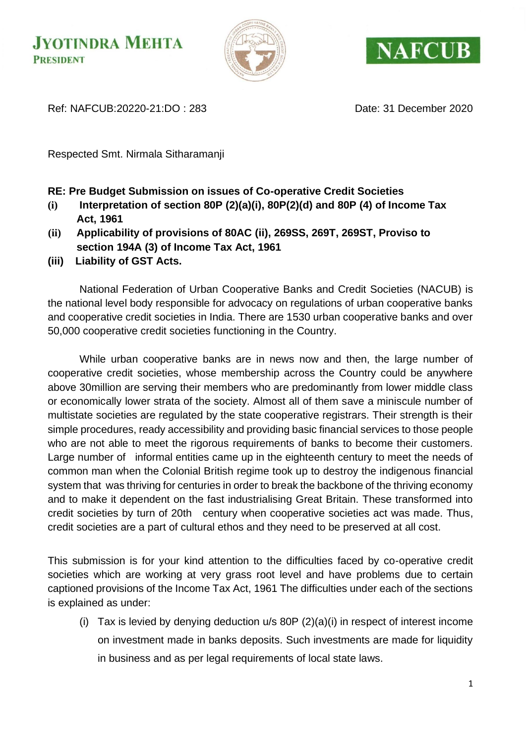



Ref: NAFCUB:20220-21:DO : 283 Date: 31 December 2020

Respected Smt. Nirmala Sitharamanji

#### **RE: Pre Budget Submission on issues of Co-operative Credit Societies**

- **(i) Interpretation of section 80P (2)(a)(i), 80P(2)(d) and 80P (4) of Income Tax Act, 1961**
- **(ii) Applicability of provisions of 80AC (ii), 269SS, 269T, 269ST, Proviso to section 194A (3) of Income Tax Act, 1961**
- **(iii) Liability of GST Acts.**

National Federation of Urban Cooperative Banks and Credit Societies (NACUB) is the national level body responsible for advocacy on regulations of urban cooperative banks and cooperative credit societies in India. There are 1530 urban cooperative banks and over 50,000 cooperative credit societies functioning in the Country.

While urban cooperative banks are in news now and then, the large number of cooperative credit societies, whose membership across the Country could be anywhere above 30million are serving their members who are predominantly from lower middle class or economically lower strata of the society. Almost all of them save a miniscule number of multistate societies are regulated by the state cooperative registrars. Their strength is their simple procedures, ready accessibility and providing basic financial services to those people who are not able to meet the rigorous requirements of banks to become their customers. Large number of informal entities came up in the eighteenth century to meet the needs of common man when the Colonial British regime took up to destroy the indigenous financial system that was thriving for centuries in order to break the backbone of the thriving economy and to make it dependent on the fast industrialising Great Britain. These transformed into credit societies by turn of 20th century when cooperative societies act was made. Thus, credit societies are a part of cultural ethos and they need to be preserved at all cost.

This submission is for your kind attention to the difficulties faced by co-operative credit societies which are working at very grass root level and have problems due to certain captioned provisions of the Income Tax Act, 1961 The difficulties under each of the sections is explained as under:

(i) Tax is levied by denying deduction  $u/s$  80P  $(2)(a)(i)$  in respect of interest income on investment made in banks deposits. Such investments are made for liquidity in business and as per legal requirements of local state laws.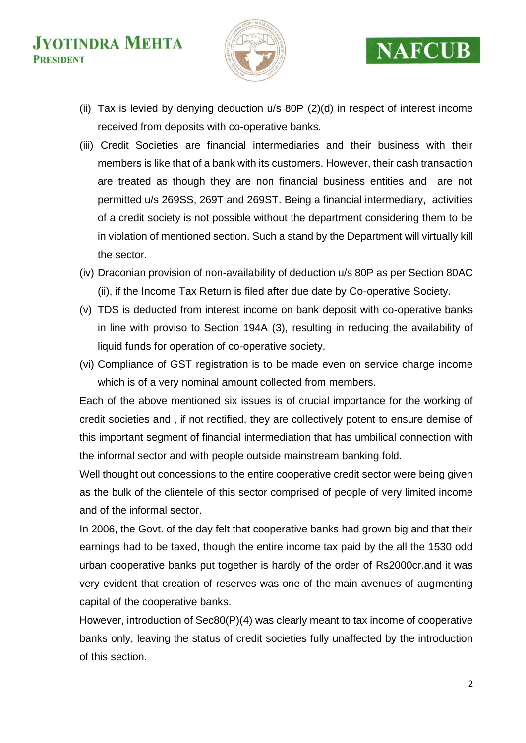

## **NAFCUB**

- (ii) Tax is levied by denying deduction u/s 80P (2)(d) in respect of interest income received from deposits with co-operative banks.
- (iii) Credit Societies are financial intermediaries and their business with their members is like that of a bank with its customers. However, their cash transaction are treated as though they are non financial business entities and are not permitted u/s 269SS, 269T and 269ST. Being a financial intermediary, activities of a credit society is not possible without the department considering them to be in violation of mentioned section. Such a stand by the Department will virtually kill the sector.
- (iv) Draconian provision of non-availability of deduction u/s 80P as per Section 80AC (ii), if the Income Tax Return is filed after due date by Co-operative Society.
- (v) TDS is deducted from interest income on bank deposit with co-operative banks in line with proviso to Section 194A (3), resulting in reducing the availability of liquid funds for operation of co-operative society.
- (vi) Compliance of GST registration is to be made even on service charge income which is of a very nominal amount collected from members.

Each of the above mentioned six issues is of crucial importance for the working of credit societies and , if not rectified, they are collectively potent to ensure demise of this important segment of financial intermediation that has umbilical connection with the informal sector and with people outside mainstream banking fold.

Well thought out concessions to the entire cooperative credit sector were being given as the bulk of the clientele of this sector comprised of people of very limited income and of the informal sector.

In 2006, the Govt. of the day felt that cooperative banks had grown big and that their earnings had to be taxed, though the entire income tax paid by the all the 1530 odd urban cooperative banks put together is hardly of the order of Rs2000cr.and it was very evident that creation of reserves was one of the main avenues of augmenting capital of the cooperative banks.

However, introduction of Sec80(P)(4) was clearly meant to tax income of cooperative banks only, leaving the status of credit societies fully unaffected by the introduction of this section.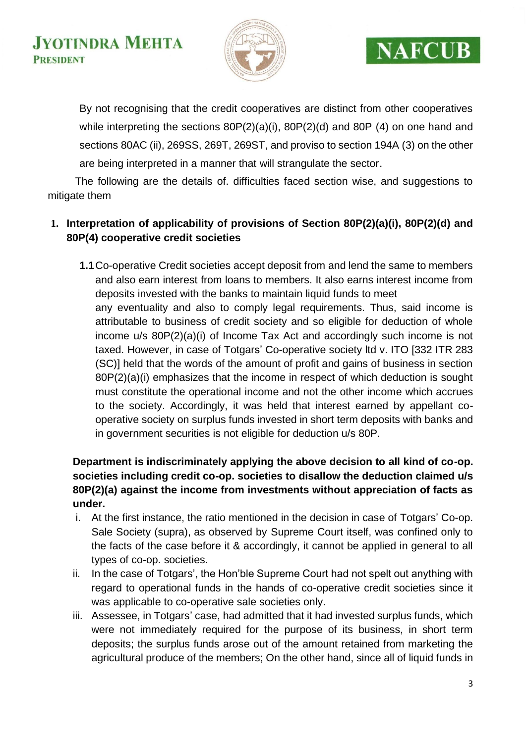

## **NAFCUB**

By not recognising that the credit cooperatives are distinct from other cooperatives while interpreting the sections 80P(2)(a)(i), 80P(2)(d) and 80P (4) on one hand and sections 80AC (ii), 269SS, 269T, 269ST, and proviso to section 194A (3) on the other are being interpreted in a manner that will strangulate the sector.

 The following are the details of. difficulties faced section wise, and suggestions to mitigate them

### **1. Interpretation of applicability of provisions of Section 80P(2)(a)(i), 80P(2)(d) and 80P(4) cooperative credit societies**

**1.1**Co-operative Credit societies accept deposit from and lend the same to members and also earn interest from loans to members. It also earns interest income from deposits invested with the banks to maintain liquid funds to meet any eventuality and also to comply legal requirements. Thus, said income is attributable to business of credit society and so eligible for deduction of whole income u/s 80P(2)(a)(i) of Income Tax Act and accordingly such income is not taxed. However, in case of Totgars' Co-operative society ltd v. ITO [332 ITR 283 (SC)] held that the words of the amount of profit and gains of business in section 80P(2)(a)(i) emphasizes that the income in respect of which deduction is sought must constitute the operational income and not the other income which accrues to the society. Accordingly, it was held that interest earned by appellant cooperative society on surplus funds invested in short term deposits with banks and in government securities is not eligible for deduction u/s 80P.

#### **Department is indiscriminately applying the above decision to all kind of co-op. societies including credit co-op. societies to disallow the deduction claimed u/s 80P(2)(a) against the income from investments without appreciation of facts as under.**

- i. At the first instance, the ratio mentioned in the decision in case of Totgars' Co-op. Sale Society (supra), as observed by Supreme Court itself, was confined only to the facts of the case before it & accordingly, it cannot be applied in general to all types of co-op. societies.
- ii. In the case of Totgars', the Hon'ble Supreme Court had not spelt out anything with regard to operational funds in the hands of co-operative credit societies since it was applicable to co-operative sale societies only.
- iii. Assessee, in Totgars' case, had admitted that it had invested surplus funds, which were not immediately required for the purpose of its business, in short term deposits; the surplus funds arose out of the amount retained from marketing the agricultural produce of the members; On the other hand, since all of liquid funds in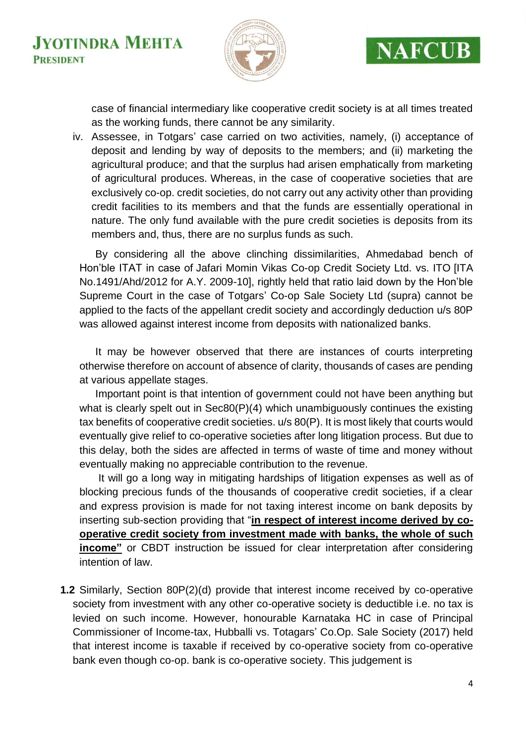

## **NAFCUB**

case of financial intermediary like cooperative credit society is at all times treated as the working funds, there cannot be any similarity.

iv. Assessee, in Totgars' case carried on two activities, namely, (i) acceptance of deposit and lending by way of deposits to the members; and (ii) marketing the agricultural produce; and that the surplus had arisen emphatically from marketing of agricultural produces. Whereas, in the case of cooperative societies that are exclusively co-op. credit societies, do not carry out any activity other than providing credit facilities to its members and that the funds are essentially operational in nature. The only fund available with the pure credit societies is deposits from its members and, thus, there are no surplus funds as such.

By considering all the above clinching dissimilarities, Ahmedabad bench of Hon'ble ITAT in case of Jafari Momin Vikas Co-op Credit Society Ltd. vs. ITO [ITA No.1491/Ahd/2012 for A.Y. 2009-10], rightly held that ratio laid down by the Hon'ble Supreme Court in the case of Totgars' Co-op Sale Society Ltd (supra) cannot be applied to the facts of the appellant credit society and accordingly deduction u/s 80P was allowed against interest income from deposits with nationalized banks.

It may be however observed that there are instances of courts interpreting otherwise therefore on account of absence of clarity, thousands of cases are pending at various appellate stages.

Important point is that intention of government could not have been anything but what is clearly spelt out in Sec80(P)(4) which unambiguously continues the existing tax benefits of cooperative credit societies. u/s 80(P). It is most likely that courts would eventually give relief to co-operative societies after long litigation process. But due to this delay, both the sides are affected in terms of waste of time and money without eventually making no appreciable contribution to the revenue.

It will go a long way in mitigating hardships of litigation expenses as well as of blocking precious funds of the thousands of cooperative credit societies, if a clear and express provision is made for not taxing interest income on bank deposits by inserting sub-section providing that "**in respect of interest income derived by cooperative credit society from investment made with banks, the whole of such income"** or CBDT instruction be issued for clear interpretation after considering intention of law.

**1.2** Similarly, Section 80P(2)(d) provide that interest income received by co-operative society from investment with any other co-operative society is deductible i.e. no tax is levied on such income. However, honourable Karnataka HC in case of Principal Commissioner of Income-tax, Hubballi vs. Totagars' Co.Op. Sale Society (2017) held that interest income is taxable if received by co-operative society from co-operative bank even though co-op. bank is co-operative society. This judgement is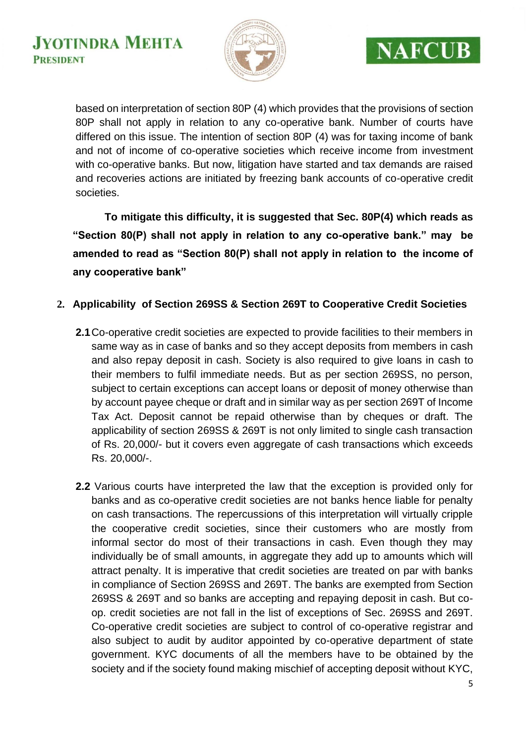



based on interpretation of section 80P (4) which provides that the provisions of section 80P shall not apply in relation to any co-operative bank. Number of courts have differed on this issue. The intention of section 80P (4) was for taxing income of bank and not of income of co-operative societies which receive income from investment with co-operative banks. But now, litigation have started and tax demands are raised and recoveries actions are initiated by freezing bank accounts of co-operative credit societies.

**To mitigate this difficulty, it is suggested that Sec. 80P(4) which reads as "Section 80(P) shall not apply in relation to any co-operative bank." may be amended to read as "Section 80(P) shall not apply in relation to the income of any cooperative bank"**

#### **2. Applicability of Section 269SS & Section 269T to Cooperative Credit Societies**

- **2.1**Co-operative credit societies are expected to provide facilities to their members in same way as in case of banks and so they accept deposits from members in cash and also repay deposit in cash. Society is also required to give loans in cash to their members to fulfil immediate needs. But as per section 269SS, no person, subject to certain exceptions can accept loans or deposit of money otherwise than by account payee cheque or draft and in similar way as per section 269T of Income Tax Act. Deposit cannot be repaid otherwise than by cheques or draft. The applicability of section 269SS & 269T is not only limited to single cash transaction of Rs. 20,000/- but it covers even aggregate of cash transactions which exceeds Rs. 20,000/-.
- **2.2** Various courts have interpreted the law that the exception is provided only for banks and as co-operative credit societies are not banks hence liable for penalty on cash transactions. The repercussions of this interpretation will virtually cripple the cooperative credit societies, since their customers who are mostly from informal sector do most of their transactions in cash. Even though they may individually be of small amounts, in aggregate they add up to amounts which will attract penalty. It is imperative that credit societies are treated on par with banks in compliance of Section 269SS and 269T. The banks are exempted from Section 269SS & 269T and so banks are accepting and repaying deposit in cash. But coop. credit societies are not fall in the list of exceptions of Sec. 269SS and 269T. Co-operative credit societies are subject to control of co-operative registrar and also subject to audit by auditor appointed by co-operative department of state government. KYC documents of all the members have to be obtained by the society and if the society found making mischief of accepting deposit without KYC,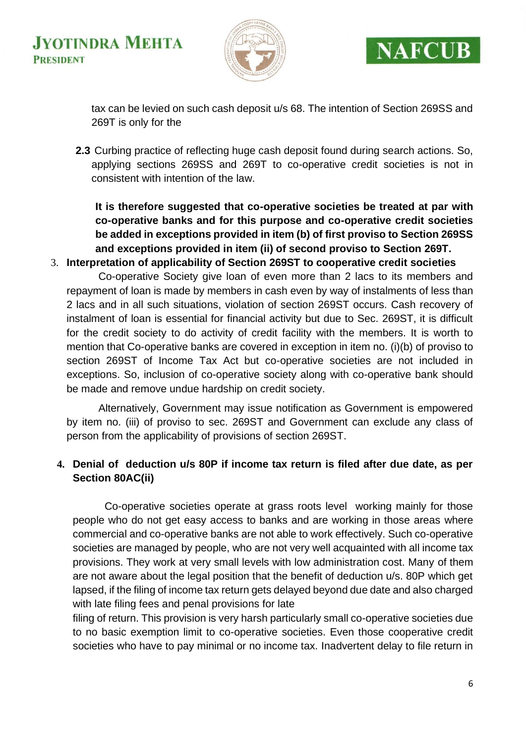



tax can be levied on such cash deposit u/s 68. The intention of Section 269SS and 269T is only for the

**2.3** Curbing practice of reflecting huge cash deposit found during search actions. So, applying sections 269SS and 269T to co-operative credit societies is not in consistent with intention of the law.

**It is therefore suggested that co-operative societies be treated at par with co-operative banks and for this purpose and co-operative credit societies be added in exceptions provided in item (b) of first proviso to Section 269SS and exceptions provided in item (ii) of second proviso to Section 269T.**

3. **Interpretation of applicability of Section 269ST to cooperative credit societies**

Co-operative Society give loan of even more than 2 lacs to its members and repayment of loan is made by members in cash even by way of instalments of less than 2 lacs and in all such situations, violation of section 269ST occurs. Cash recovery of instalment of loan is essential for financial activity but due to Sec. 269ST, it is difficult for the credit society to do activity of credit facility with the members. It is worth to mention that Co-operative banks are covered in exception in item no. (i)(b) of proviso to section 269ST of Income Tax Act but co-operative societies are not included in exceptions. So, inclusion of co-operative society along with co-operative bank should be made and remove undue hardship on credit society.

Alternatively, Government may issue notification as Government is empowered by item no. (iii) of proviso to sec. 269ST and Government can exclude any class of person from the applicability of provisions of section 269ST.

#### **4. Denial of deduction u/s 80P if income tax return is filed after due date, as per Section 80AC(ii)**

Co-operative societies operate at grass roots level working mainly for those people who do not get easy access to banks and are working in those areas where commercial and co-operative banks are not able to work effectively. Such co-operative societies are managed by people, who are not very well acquainted with all income tax provisions. They work at very small levels with low administration cost. Many of them are not aware about the legal position that the benefit of deduction u/s. 80P which get lapsed, if the filing of income tax return gets delayed beyond due date and also charged with late filing fees and penal provisions for late

filing of return. This provision is very harsh particularly small co-operative societies due to no basic exemption limit to co-operative societies. Even those cooperative credit societies who have to pay minimal or no income tax. Inadvertent delay to file return in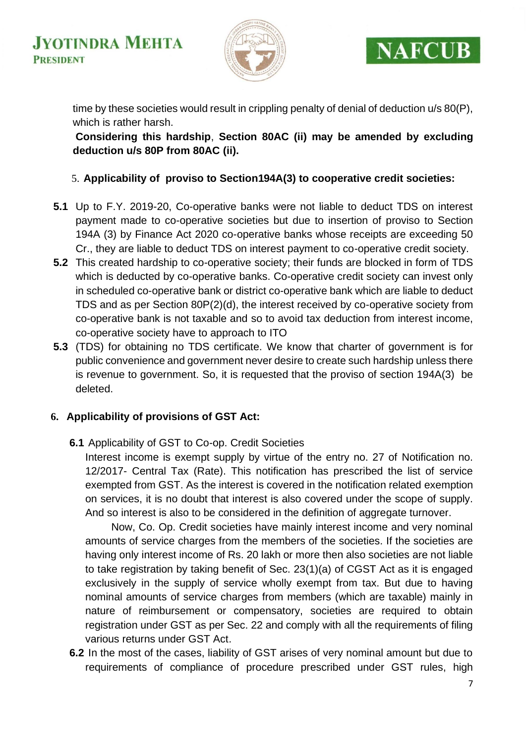



time by these societies would result in crippling penalty of denial of deduction u/s 80(P), which is rather harsh.

**Considering this hardship**, **Section 80AC (ii) may be amended by excluding deduction u/s 80P from 80AC (ii).**

#### 5. **Applicability of proviso to Section194A(3) to cooperative credit societies:**

- **5.1** Up to F.Y. 2019-20, Co-operative banks were not liable to deduct TDS on interest payment made to co-operative societies but due to insertion of proviso to Section 194A (3) by Finance Act 2020 co-operative banks whose receipts are exceeding 50 Cr., they are liable to deduct TDS on interest payment to co-operative credit society.
- **5.2** This created hardship to co-operative society; their funds are blocked in form of TDS which is deducted by co-operative banks. Co-operative credit society can invest only in scheduled co-operative bank or district co-operative bank which are liable to deduct TDS and as per Section 80P(2)(d), the interest received by co-operative society from co-operative bank is not taxable and so to avoid tax deduction from interest income, co-operative society have to approach to ITO
- **5.3** (TDS) for obtaining no TDS certificate. We know that charter of government is for public convenience and government never desire to create such hardship unless there is revenue to government. So, it is requested that the proviso of section 194A(3) be deleted.

#### **6. Applicability of provisions of GST Act:**

**6.1** Applicability of GST to Co-op. Credit Societies

Interest income is exempt supply by virtue of the entry no. 27 of Notification no. 12/2017- Central Tax (Rate). This notification has prescribed the list of service exempted from GST. As the interest is covered in the notification related exemption on services, it is no doubt that interest is also covered under the scope of supply. And so interest is also to be considered in the definition of aggregate turnover.

Now, Co. Op. Credit societies have mainly interest income and very nominal amounts of service charges from the members of the societies. If the societies are having only interest income of Rs. 20 lakh or more then also societies are not liable to take registration by taking benefit of Sec. 23(1)(a) of CGST Act as it is engaged exclusively in the supply of service wholly exempt from tax. But due to having nominal amounts of service charges from members (which are taxable) mainly in nature of reimbursement or compensatory, societies are required to obtain registration under GST as per Sec. 22 and comply with all the requirements of filing various returns under GST Act.

**6.2** In the most of the cases, liability of GST arises of very nominal amount but due to requirements of compliance of procedure prescribed under GST rules, high